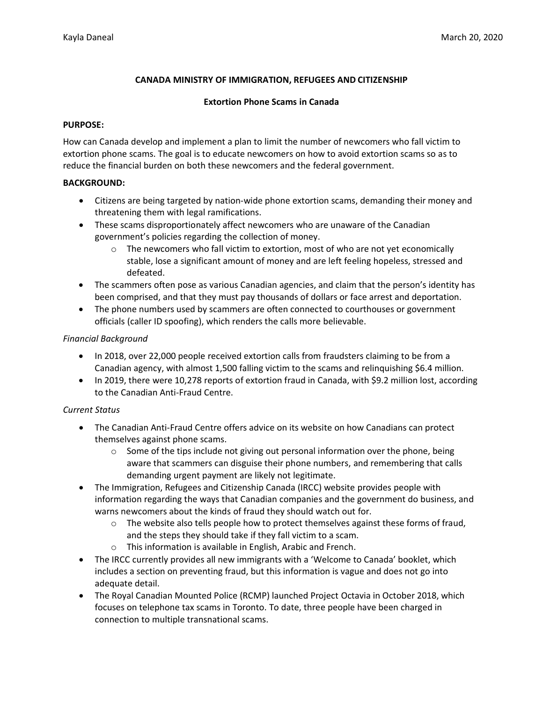# **CANADA MINISTRY OF IMMIGRATION, REFUGEES AND CITIZENSHIP**

### **Extortion Phone Scams in Canada**

### **PURPOSE:**

How can Canada develop and implement a plan to limit the number of newcomers who fall victim to extortion phone scams. The goal is to educate newcomers on how to avoid extortion scams so as to reduce the financial burden on both these newcomers and the federal government.

## **BACKGROUND:**

- Citizens are being targeted by nation-wide phone extortion scams, demanding their money and threatening them with legal ramifications.
- These scams disproportionately affect newcomers who are unaware of the Canadian government's policies regarding the collection of money.
	- $\circ$  The newcomers who fall victim to extortion, most of who are not yet economically stable, lose a significant amount of money and are left feeling hopeless, stressed and defeated.
- The scammers often pose as various Canadian agencies, and claim that the person's identity has been comprised, and that they must pay thousands of dollars or face arrest and deportation.
- The phone numbers used by scammers are often connected to courthouses or government officials (caller ID spoofing), which renders the calls more believable.

# *Financial Background*

- In 2018, over 22,000 people received extortion calls from fraudsters claiming to be from a Canadian agency, with almost 1,500 falling victim to the scams and relinquishing \$6.4 million.
- In 2019, there were 10,278 reports of extortion fraud in Canada, with \$9.2 million lost, according to the Canadian Anti-Fraud Centre.

## *Current Status*

- The Canadian Anti-Fraud Centre offers advice on its website on how Canadians can protect themselves against phone scams.
	- $\circ$  Some of the tips include not giving out personal information over the phone, being aware that scammers can disguise their phone numbers, and remembering that calls demanding urgent payment are likely not legitimate.
- The Immigration, Refugees and Citizenship Canada (IRCC) website provides people with information regarding the ways that Canadian companies and the government do business, and warns newcomers about the kinds of fraud they should watch out for.
	- $\circ$  The website also tells people how to protect themselves against these forms of fraud, and the steps they should take if they fall victim to a scam.
	- o This information is available in English, Arabic and French.
- The IRCC currently provides all new immigrants with a 'Welcome to Canada' booklet, which includes a section on preventing fraud, but this information is vague and does not go into adequate detail.
- The Royal Canadian Mounted Police (RCMP) launched Project Octavia in October 2018, which focuses on telephone tax scams in Toronto. To date, three people have been charged in connection to multiple transnational scams.